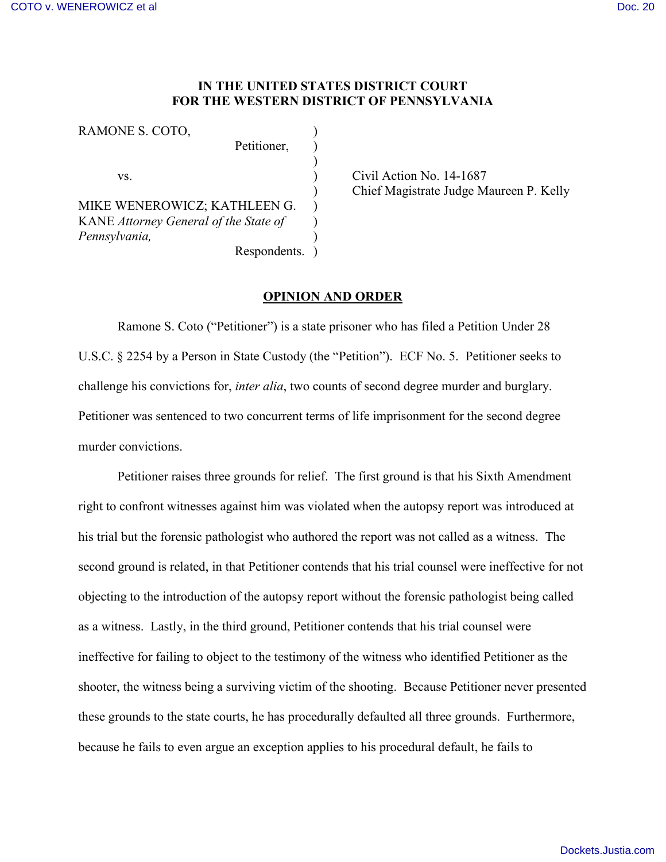#### **IN THE UNITED STATES DISTRICT COURT FOR THE WESTERN DISTRICT OF PENNSYLVANIA**

| RAMONE S. COTO,                       |              |  |
|---------------------------------------|--------------|--|
|                                       | Petitioner,  |  |
|                                       |              |  |
| VS.                                   |              |  |
|                                       |              |  |
| MIKE WENEROWICZ; KATHLEEN G.          |              |  |
| KANE Attorney General of the State of |              |  |
| Pennsylvania,                         |              |  |
|                                       | Respondents. |  |

Civil Action No.  $14-1687$ ) Chief Magistrate Judge Maureen P. Kelly

#### **OPINION AND ORDER**

Ramone S. Coto ("Petitioner") is a state prisoner who has filed a Petition Under 28 U.S.C. § 2254 by a Person in State Custody (the "Petition"). ECF No. 5. Petitioner seeks to challenge his convictions for, *inter alia*, two counts of second degree murder and burglary. Petitioner was sentenced to two concurrent terms of life imprisonment for the second degree murder convictions.

Petitioner raises three grounds for relief. The first ground is that his Sixth Amendment right to confront witnesses against him was violated when the autopsy report was introduced at his trial but the forensic pathologist who authored the report was not called as a witness. The second ground is related, in that Petitioner contends that his trial counsel were ineffective for not objecting to the introduction of the autopsy report without the forensic pathologist being called as a witness. Lastly, in the third ground, Petitioner contends that his trial counsel were ineffective for failing to object to the testimony of the witness who identified Petitioner as the shooter, the witness being a surviving victim of the shooting. Because Petitioner never presented these grounds to the state courts, he has procedurally defaulted all three grounds. Furthermore, because he fails to even argue an exception applies to his procedural default, he fails to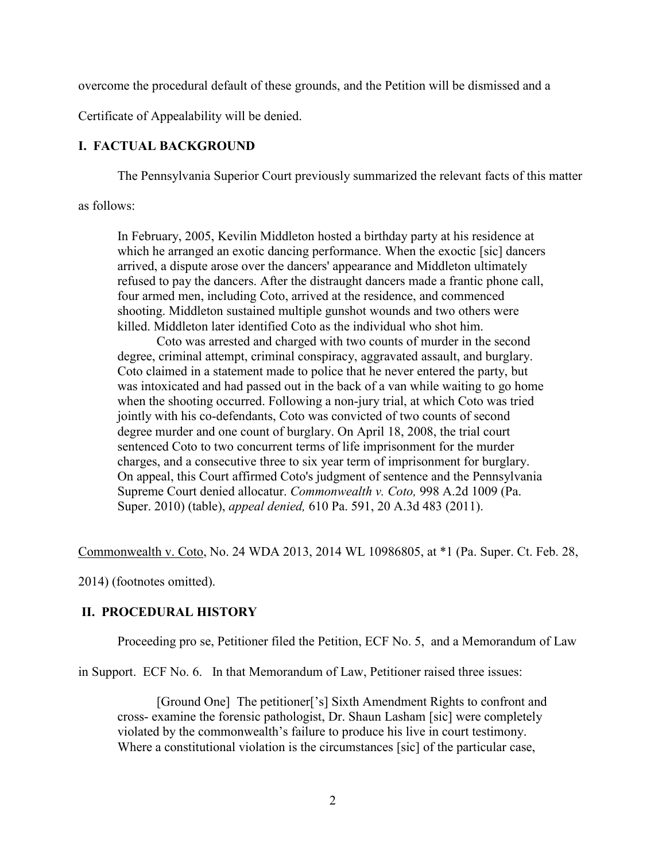overcome the procedural default of these grounds, and the Petition will be dismissed and a

Certificate of Appealability will be denied.

# **I. FACTUAL BACKGROUND**

The Pennsylvania Superior Court previously summarized the relevant facts of this matter

as follows:

In February, 2005, Kevilin Middleton hosted a birthday party at his residence at which he arranged an exotic dancing performance. When the exoctic [sic] dancers arrived, a dispute arose over the dancers' appearance and Middleton ultimately refused to pay the dancers. After the distraught dancers made a frantic phone call, four armed men, including Coto, arrived at the residence, and commenced shooting. Middleton sustained multiple gunshot wounds and two others were killed. Middleton later identified Coto as the individual who shot him.

Coto was arrested and charged with two counts of murder in the second degree, criminal attempt, criminal conspiracy, aggravated assault, and burglary. Coto claimed in a statement made to police that he never entered the party, but was intoxicated and had passed out in the back of a van while waiting to go home when the shooting occurred. Following a non-jury trial, at which Coto was tried jointly with his co-defendants, Coto was convicted of two counts of second degree murder and one count of burglary. On April 18, 2008, the trial court sentenced Coto to two concurrent terms of life imprisonment for the murder charges, and a consecutive three to six year term of imprisonment for burglary. On appeal, this Court affirmed Coto's judgment of sentence and the Pennsylvania Supreme Court denied allocatur. *Commonwealth v. Coto,* 998 A.2d 1009 (Pa. Super. 2010) (table), *appeal denied,* 610 Pa. 591, 20 A.3d 483 (2011).

Commonwealth v. Coto, No. 24 WDA 2013, 2014 WL 10986805, at \*1 (Pa. Super. Ct. Feb. 28,

2014) (footnotes omitted).

# **II. PROCEDURAL HISTORY**

Proceeding pro se, Petitioner filed the Petition, ECF No. 5, and a Memorandum of Law

in Support. ECF No. 6. In that Memorandum of Law, Petitioner raised three issues:

[Ground One] The petitioner['s] Sixth Amendment Rights to confront and cross- examine the forensic pathologist, Dr. Shaun Lasham [sic] were completely violated by the commonwealth's failure to produce his live in court testimony. Where a constitutional violation is the circumstances [sic] of the particular case,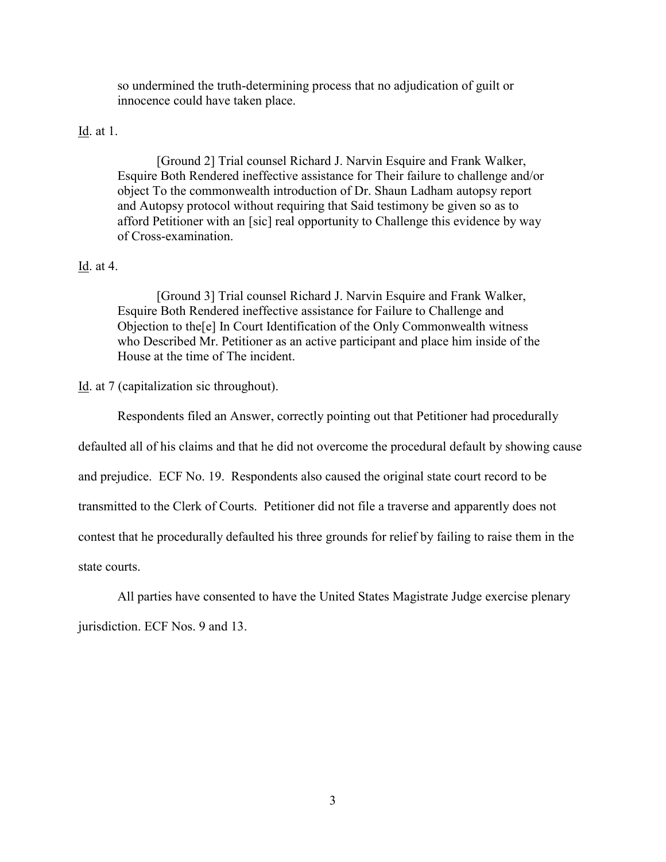so undermined the truth-determining process that no adjudication of guilt or innocence could have taken place.

### Id. at 1.

[Ground 2] Trial counsel Richard J. Narvin Esquire and Frank Walker, Esquire Both Rendered ineffective assistance for Their failure to challenge and/or object To the commonwealth introduction of Dr. Shaun Ladham autopsy report and Autopsy protocol without requiring that Said testimony be given so as to afford Petitioner with an [sic] real opportunity to Challenge this evidence by way of Cross-examination.

#### Id. at 4.

[Ground 3] Trial counsel Richard J. Narvin Esquire and Frank Walker, Esquire Both Rendered ineffective assistance for Failure to Challenge and Objection to the[e] In Court Identification of the Only Commonwealth witness who Described Mr. Petitioner as an active participant and place him inside of the House at the time of The incident.

Id. at 7 (capitalization sic throughout).

Respondents filed an Answer, correctly pointing out that Petitioner had procedurally

defaulted all of his claims and that he did not overcome the procedural default by showing cause

and prejudice. ECF No. 19. Respondents also caused the original state court record to be

transmitted to the Clerk of Courts. Petitioner did not file a traverse and apparently does not

contest that he procedurally defaulted his three grounds for relief by failing to raise them in the

state courts.

All parties have consented to have the United States Magistrate Judge exercise plenary

jurisdiction. ECF Nos. 9 and 13.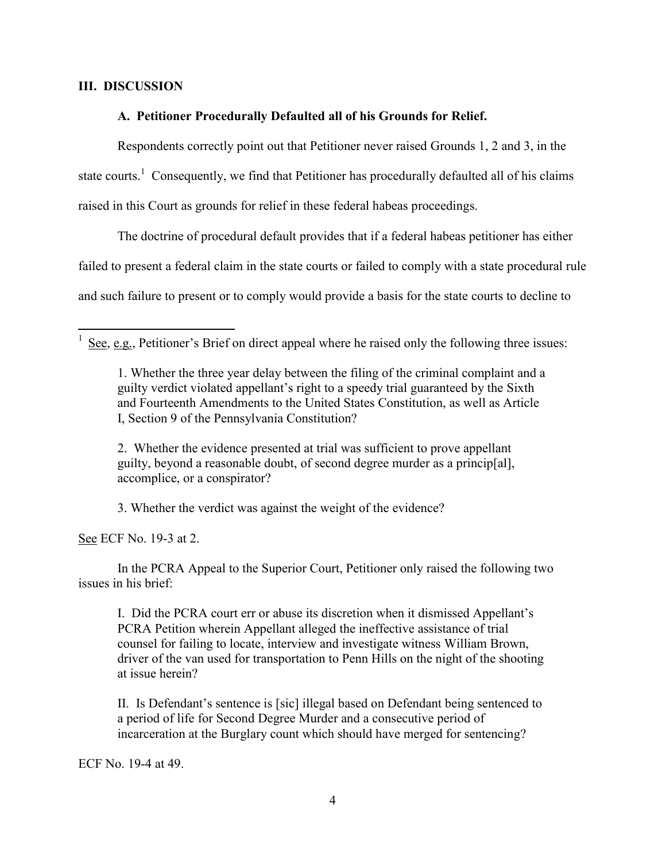### **III. DISCUSSION**

 $\overline{a}$ 

# **A. Petitioner Procedurally Defaulted all of his Grounds for Relief.**

Respondents correctly point out that Petitioner never raised Grounds 1, 2 and 3, in the state courts.<sup>1</sup> Consequently, we find that Petitioner has procedurally defaulted all of his claims raised in this Court as grounds for relief in these federal habeas proceedings.

The doctrine of procedural default provides that if a federal habeas petitioner has either failed to present a federal claim in the state courts or failed to comply with a state procedural rule and such failure to present or to comply would provide a basis for the state courts to decline to

2. Whether the evidence presented at trial was sufficient to prove appellant guilty, beyond a reasonable doubt, of second degree murder as a princip[al], accomplice, or a conspirator?

3. Whether the verdict was against the weight of the evidence?

See ECF No. 19-3 at 2.

In the PCRA Appeal to the Superior Court, Petitioner only raised the following two issues in his brief:

I. Did the PCRA court err or abuse its discretion when it dismissed Appellant's PCRA Petition wherein Appellant alleged the ineffective assistance of trial counsel for failing to locate, interview and investigate witness William Brown, driver of the van used for transportation to Penn Hills on the night of the shooting at issue herein?

II. Is Defendant's sentence is [sic] illegal based on Defendant being sentenced to a period of life for Second Degree Murder and a consecutive period of incarceration at the Burglary count which should have merged for sentencing?

ECF No. 19-4 at 49.

<sup>1</sup> See, e.g., Petitioner's Brief on direct appeal where he raised only the following three issues:

<sup>1.</sup> Whether the three year delay between the filing of the criminal complaint and a guilty verdict violated appellant's right to a speedy trial guaranteed by the Sixth and Fourteenth Amendments to the United States Constitution, as well as Article I, Section 9 of the Pennsylvania Constitution?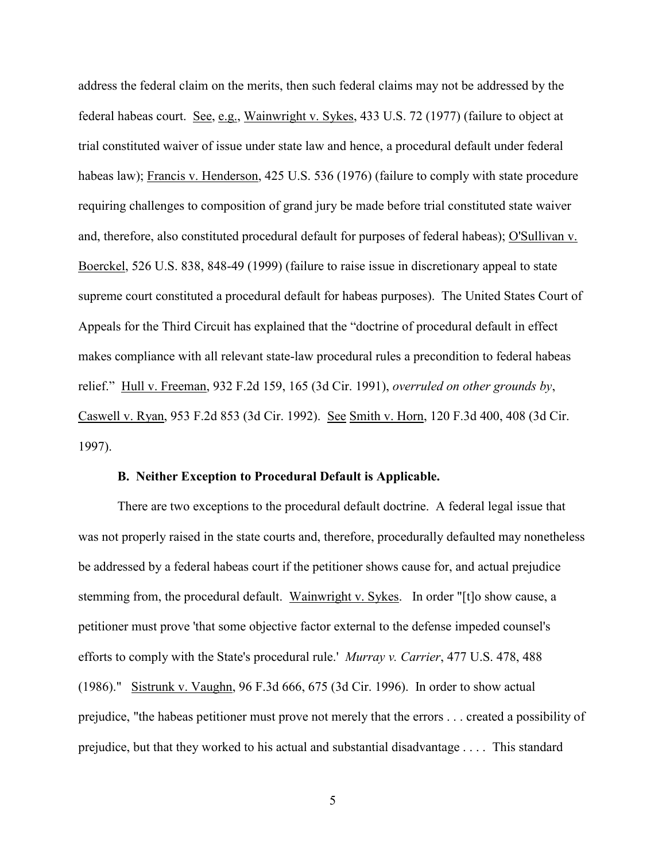address the federal claim on the merits, then such federal claims may not be addressed by the federal habeas court. See, e.g., Wainwright v. Sykes, 433 U.S. 72 (1977) (failure to object at trial constituted waiver of issue under state law and hence, a procedural default under federal habeas law); Francis v. Henderson, 425 U.S. 536 (1976) (failure to comply with state procedure requiring challenges to composition of grand jury be made before trial constituted state waiver and, therefore, also constituted procedural default for purposes of federal habeas); O'Sullivan v. Boerckel, 526 U.S. 838, 848-49 (1999) (failure to raise issue in discretionary appeal to state supreme court constituted a procedural default for habeas purposes). The United States Court of Appeals for the Third Circuit has explained that the "doctrine of procedural default in effect makes compliance with all relevant state-law procedural rules a precondition to federal habeas relief." Hull v. Freeman, 932 F.2d 159, 165 (3d Cir. 1991), *overruled on other grounds by*, Caswell v. Ryan, 953 F.2d 853 (3d Cir. 1992). See Smith v. Horn, 120 F.3d 400, 408 (3d Cir. 1997).

#### **B. Neither Exception to Procedural Default is Applicable.**

There are two exceptions to the procedural default doctrine. A federal legal issue that was not properly raised in the state courts and, therefore, procedurally defaulted may nonetheless be addressed by a federal habeas court if the petitioner shows cause for, and actual prejudice stemming from, the procedural default. Wainwright v. Sykes. In order "[t]o show cause, a petitioner must prove 'that some objective factor external to the defense impeded counsel's efforts to comply with the State's procedural rule.' *Murray v. Carrier*, 477 U.S. 478, 488 (1986)." Sistrunk v. Vaughn, 96 F.3d 666, 675 (3d Cir. 1996). In order to show actual prejudice, "the habeas petitioner must prove not merely that the errors . . . created a possibility of prejudice, but that they worked to his actual and substantial disadvantage . . . . This standard

5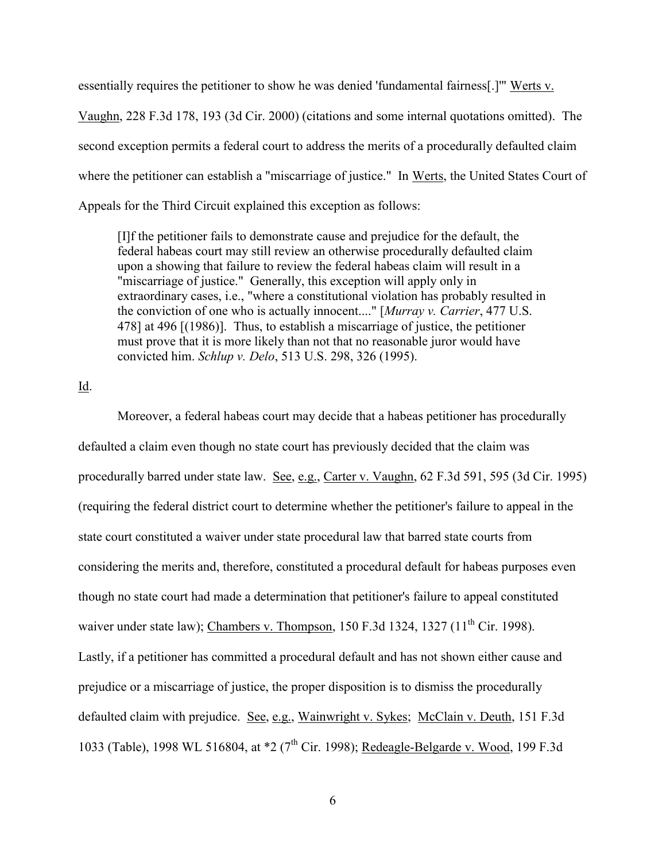essentially requires the petitioner to show he was denied 'fundamental fairness[.]'" Werts v. Vaughn, 228 F.3d 178, 193 (3d Cir. 2000) (citations and some internal quotations omitted). The second exception permits a federal court to address the merits of a procedurally defaulted claim where the petitioner can establish a "miscarriage of justice." In Werts, the United States Court of Appeals for the Third Circuit explained this exception as follows:

[I]f the petitioner fails to demonstrate cause and prejudice for the default, the federal habeas court may still review an otherwise procedurally defaulted claim upon a showing that failure to review the federal habeas claim will result in a "miscarriage of justice." Generally, this exception will apply only in extraordinary cases, i.e., "where a constitutional violation has probably resulted in the conviction of one who is actually innocent...." [*Murray v. Carrier*, 477 U.S. 478] at 496 [(1986)]. Thus, to establish a miscarriage of justice, the petitioner must prove that it is more likely than not that no reasonable juror would have convicted him. *Schlup v. Delo*, 513 U.S. 298, 326 (1995).

### Id.

Moreover, a federal habeas court may decide that a habeas petitioner has procedurally defaulted a claim even though no state court has previously decided that the claim was procedurally barred under state law. See, e.g., Carter v. Vaughn, 62 F.3d 591, 595 (3d Cir. 1995) (requiring the federal district court to determine whether the petitioner's failure to appeal in the state court constituted a waiver under state procedural law that barred state courts from considering the merits and, therefore, constituted a procedural default for habeas purposes even though no state court had made a determination that petitioner's failure to appeal constituted waiver under state law); Chambers v. Thompson,  $150$  F.3d  $1324$ ,  $1327$  ( $11<sup>th</sup>$  Cir. 1998). Lastly, if a petitioner has committed a procedural default and has not shown either cause and prejudice or a miscarriage of justice, the proper disposition is to dismiss the procedurally defaulted claim with prejudice. See, e.g., Wainwright v. Sykes; McClain v. Deuth, 151 F.3d 1033 (Table), 1998 WL 516804, at \*2 (7<sup>th</sup> Cir. 1998); Redeagle-Belgarde v. Wood, 199 F.3d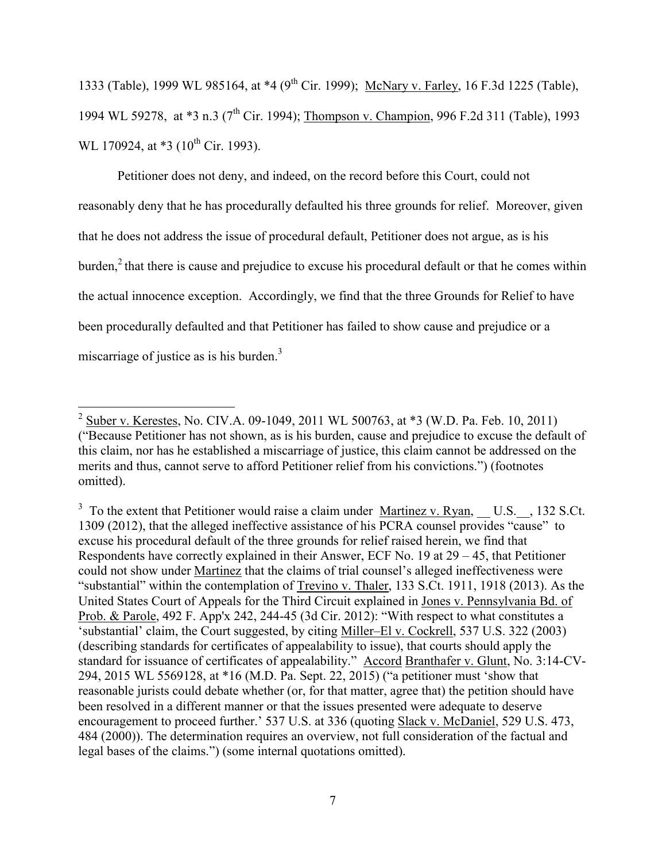1333 (Table), 1999 WL 985164, at \*4 (9<sup>th</sup> Cir. 1999); McNary v. Farley, 16 F.3d 1225 (Table), 1994 WL 59278, at \*3 n.3 (7<sup>th</sup> Cir. 1994); Thompson v. Champion, 996 F.2d 311 (Table), 1993 WL 170924, at  $*3$  (10<sup>th</sup> Cir. 1993).

Petitioner does not deny, and indeed, on the record before this Court, could not reasonably deny that he has procedurally defaulted his three grounds for relief. Moreover, given that he does not address the issue of procedural default, Petitioner does not argue, as is his burden,<sup>2</sup> that there is cause and prejudice to excuse his procedural default or that he comes within the actual innocence exception. Accordingly, we find that the three Grounds for Relief to have been procedurally defaulted and that Petitioner has failed to show cause and prejudice or a miscarriage of justice as is his burden. $3$ 

<sup>&</sup>lt;sup>2</sup> Suber v. Kerestes, No. CIV.A. 09-1049, 2011 WL 500763, at \*3 (W.D. Pa. Feb. 10, 2011) ("Because Petitioner has not shown, as is his burden, cause and prejudice to excuse the default of this claim, nor has he established a miscarriage of justice, this claim cannot be addressed on the merits and thus, cannot serve to afford Petitioner relief from his convictions.") (footnotes omitted).

 $3\text{ To the extent that Petitioner would raise a claim under } Martinez v. Ryan, U.S., 132 S.C.t.$ 1309 (2012), that the alleged ineffective assistance of his PCRA counsel provides "cause" to excuse his procedural default of the three grounds for relief raised herein, we find that Respondents have correctly explained in their Answer, ECF No. 19 at 29 – 45, that Petitioner could not show under Martinez that the claims of trial counsel's alleged ineffectiveness were "substantial" within the contemplation of Trevino v. Thaler, 133 S.Ct. 1911, 1918 (2013). As the United States Court of Appeals for the Third Circuit explained in Jones v. Pennsylvania Bd. of Prob. & Parole, 492 F. App'x 242, 244-45 (3d Cir. 2012): "With respect to what constitutes a 'substantial' claim, the Court suggested, by citing Miller–El v. Cockrell, 537 U.S. 322 (2003) (describing standards for certificates of appealability to issue), that courts should apply the standard for issuance of certificates of appealability." Accord Branthafer v. Glunt, No. 3:14-CV-294, 2015 WL 5569128, at \*16 (M.D. Pa. Sept. 22, 2015) ("a petitioner must 'show that reasonable jurists could debate whether (or, for that matter, agree that) the petition should have been resolved in a different manner or that the issues presented were adequate to deserve encouragement to proceed further.' 537 U.S. at 336 (quoting Slack v. McDaniel, 529 U.S. 473, 484 (2000)). The determination requires an overview, not full consideration of the factual and legal bases of the claims.") (some internal quotations omitted).